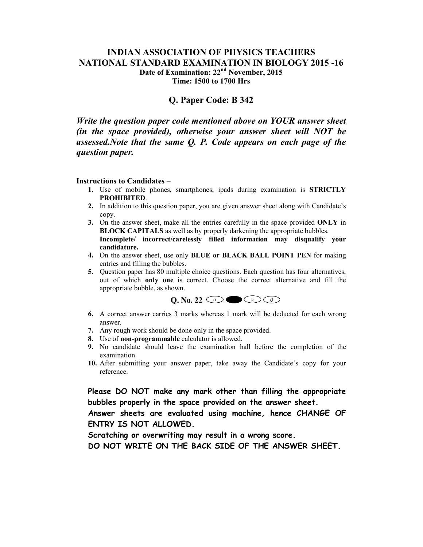## **INDIAN ASSOCIATION OF PHYSICS TEACHERS NATIONAL STANDARD EXAMINATION IN BIOLOGY 2015 -16 Date of Examination: 22nd November, 2015 Time: 1500 to 1700 Hrs**

# **Q. Paper Code: B 342**

*Write the question paper code mentioned above on YOUR answer sheet (in the space provided), otherwise your answer sheet will NOT be assessed.Note that the same Q. P. Code appears on each page of the question paper.* 

#### **Instructions to Candidates** –

- **1.** Use of mobile phones, smartphones, ipads during examination is **STRICTLY PROHIBITED**.
- **2.** In addition to this question paper, you are given answer sheet along with Candidate's copy.
- **3.** On the answer sheet, make all the entries carefully in the space provided **ONLY** in **BLOCK CAPITALS** as well as by properly darkening the appropriate bubbles. **Incomplete/ incorrect/carelessly filled information may disqualify your candidature.**
- **4.** On the answer sheet, use only **BLUE or BLACK BALL POINT PEN** for making entries and filling the bubbles.
- **5.** Question paper has 80 multiple choice questions. Each question has four alternatives, out of which **only one** is correct. Choose the correct alternative and fill the appropriate bubble, as shown.



- **6.** A correct answer carries 3 marks whereas 1 mark will be deducted for each wrong answer.
- **7.** Any rough work should be done only in the space provided.
- **8.** Use of **non-programmable** calculator is allowed.
- **9.** No candidate should leave the examination hall before the completion of the examination.
- **10.** After submitting your answer paper, take away the Candidate's copy for your reference.

**Please DO NOT make any mark other than filling the appropriate bubbles properly in the space provided on the answer sheet.** 

**Answer sheets are evaluated using machine, hence CHANGE OF ENTRY IS NOT ALLOWED.** 

**Scratching or overwriting may result in a wrong score.** 

**DO NOT WRITE ON THE BACK SIDE OF THE ANSWER SHEET.**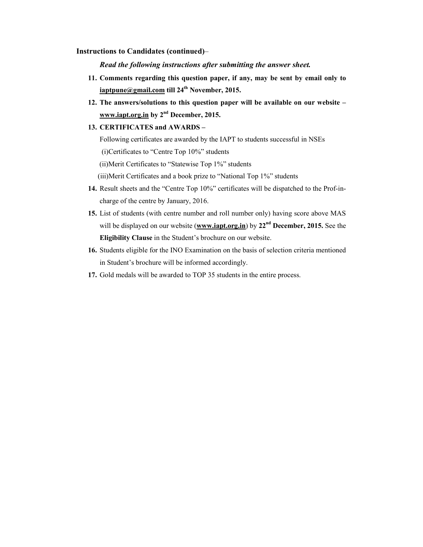#### **Instructions to Candidates (continued)**–

*Read the following instructions after submitting the answer sheet.*

- **11. Comments regarding this question paper, if any, may be sent by email only to iaptpune@gmail.com till 24th November, 2015.**
- **12. The answers/solutions to this question paper will be available on our website www.iapt.org.in by 2nd December, 2015.**

### **13. CERTIFICATES and AWARDS –**

Following certificates are awarded by the IAPT to students successful in NSEs

(i)Certificates to "Centre Top 10%" students

(ii)Merit Certificates to "Statewise Top 1%" students

(iii)Merit Certificates and a book prize to "National Top 1%" students

- **14.** Result sheets and the "Centre Top 10%" certificates will be dispatched to the Prof-incharge of the centre by January, 2016.
- **15.** List of students (with centre number and roll number only) having score above MAS will be displayed on our website (**www.iapt.org.in**) by **22nd December, 2015.** See the **Eligibility Clause** in the Student's brochure on our website.
- **16.** Students eligible for the INO Examination on the basis of selection criteria mentioned in Student's brochure will be informed accordingly.
- **17.** Gold medals will be awarded to TOP 35 students in the entire process.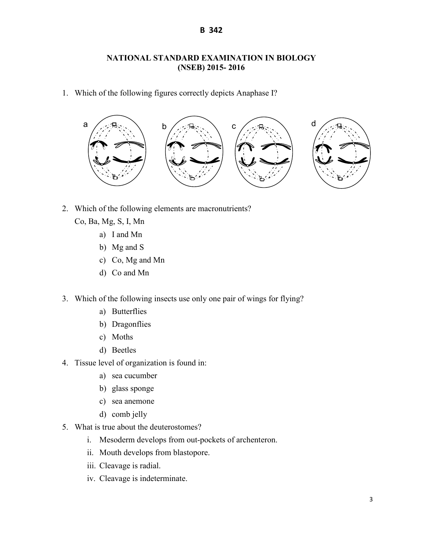# **NATIONAL STANDARD EXAMINATION IN BIOLOGY (NSEB) 2015- 2016**

1. Which of the following figures correctly depicts Anaphase I?



2. Which of the following elements are macronutrients?

Co, Ba, Mg, S, I, Mn

- a) I and Mn
- b) Mg and S
- c) Co, Mg and Mn
- d) Co and Mn
- 3. Which of the following insects use only one pair of wings for flying?
	- a) Butterflies
	- b) Dragonflies
	- c) Moths
	- d) Beetles
- 4. Tissue level of organization is found in:
	- a) sea cucumber
	- b) glass sponge
	- c) sea anemone
	- d) comb jelly
- 5. What is true about the deuterostomes?
	- i. Mesoderm develops from out-pockets of archenteron.
	- ii. Mouth develops from blastopore.
	- iii. Cleavage is radial.
	- iv. Cleavage is indeterminate.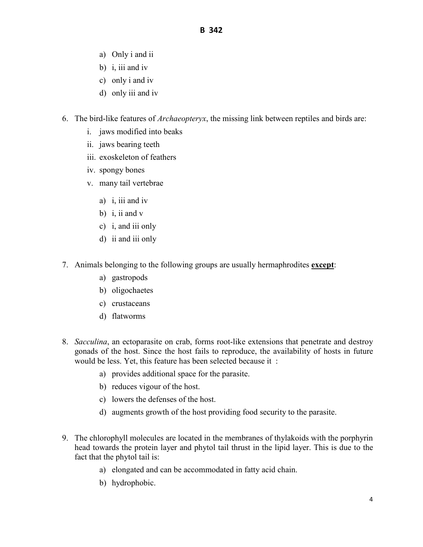- a) Only i and ii
- b) i, iii and iv
- c) only i and iv
- d) only iii and iv
- 6. The bird-like features of *Archaeopteryx*, the missing link between reptiles and birds are:
	- i. jaws modified into beaks
	- ii. jaws bearing teeth
	- iii. exoskeleton of feathers
	- iv. spongy bones
	- v. many tail vertebrae
		- a) i, iii and iv
		- b) i, ii and v
		- c) i, and iii only
		- d) ii and iii only
- 7. Animals belonging to the following groups are usually hermaphrodites **except**:
	- a) gastropods
	- b) oligochaetes
	- c) crustaceans
	- d) flatworms
- 8. *Sacculina*, an ectoparasite on crab, forms root-like extensions that penetrate and destroy gonads of the host. Since the host fails to reproduce, the availability of hosts in future would be less. Yet, this feature has been selected because it :
	- a) provides additional space for the parasite.
	- b) reduces vigour of the host.
	- c) lowers the defenses of the host.
	- d) augments growth of the host providing food security to the parasite.
- 9. The chlorophyll molecules are located in the membranes of thylakoids with the porphyrin head towards the protein layer and phytol tail thrust in the lipid layer. This is due to the fact that the phytol tail is:
	- a) elongated and can be accommodated in fatty acid chain.
	- b) hydrophobic.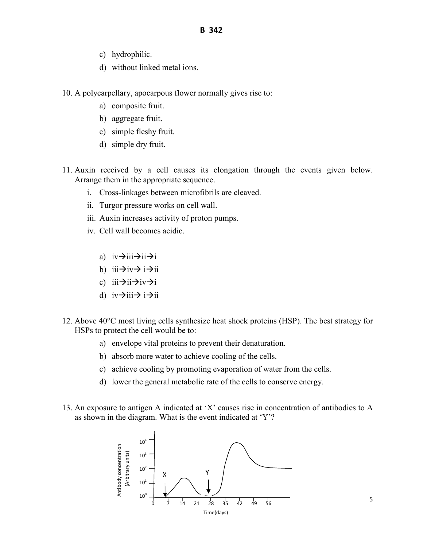- c) hydrophilic.
- d) without linked metal ions.
- 10. A polycarpellary, apocarpous flower normally gives rise to:
	- a) composite fruit.
	- b) aggregate fruit.
	- c) simple fleshy fruit.
	- d) simple dry fruit.
- 11. Auxin received by a cell causes its elongation through the events given below. Arrange them in the appropriate sequence.
	- i. Cross-linkages between microfibrils are cleaved.
	- ii. Turgor pressure works on cell wall.
	- iii. Auxin increases activity of proton pumps.
	- iv. Cell wall becomes acidic.
		- a)  $iv \rightarrow iii \rightarrow ii \rightarrow i$
		- b)  $iii \rightarrow iv \rightarrow i \rightarrow ii$
		- c)  $iii \rightarrow ii \rightarrow iv \rightarrow i$
		- d)  $iv \rightarrow iii \rightarrow i \rightarrow ii$
- 12. Above 40°C most living cells synthesize heat shock proteins (HSP). The best strategy for HSPs to protect the cell would be to:
	- a) envelope vital proteins to prevent their denaturation.
	- b) absorb more water to achieve cooling of the cells.
	- c) achieve cooling by promoting evaporation of water from the cells.
	- d) lower the general metabolic rate of the cells to conserve energy.
- 13. An exposure to antigen A indicated at 'X' causes rise in concentration of antibodies to A as shown in the diagram. What is the event indicated at 'Y'?

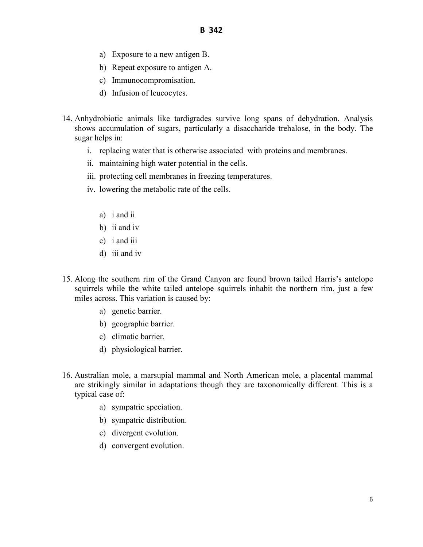- a) Exposure to a new antigen B.
- b) Repeat exposure to antigen A.
- c) Immunocompromisation.
- d) Infusion of leucocytes.
- 14. Anhydrobiotic animals like tardigrades survive long spans of dehydration. Analysis shows accumulation of sugars, particularly a disaccharide trehalose, in the body. The sugar helps in:
	- i. replacing water that is otherwise associated with proteins and membranes.
	- ii. maintaining high water potential in the cells.
	- iii. protecting cell membranes in freezing temperatures.
	- iv. lowering the metabolic rate of the cells.
		- a) i and ii
		- b) ii and iv
		- c) i and iii
		- d) iii and iv
- 15. Along the southern rim of the Grand Canyon are found brown tailed Harris's antelope squirrels while the white tailed antelope squirrels inhabit the northern rim, just a few miles across. This variation is caused by:
	- a) genetic barrier.
	- b) geographic barrier.
	- c) climatic barrier.
	- d) physiological barrier.
- 16. Australian mole, a marsupial mammal and North American mole, a placental mammal are strikingly similar in adaptations though they are taxonomically different. This is a typical case of:
	- a) sympatric speciation.
	- b) sympatric distribution.
	- c) divergent evolution.
	- d) convergent evolution.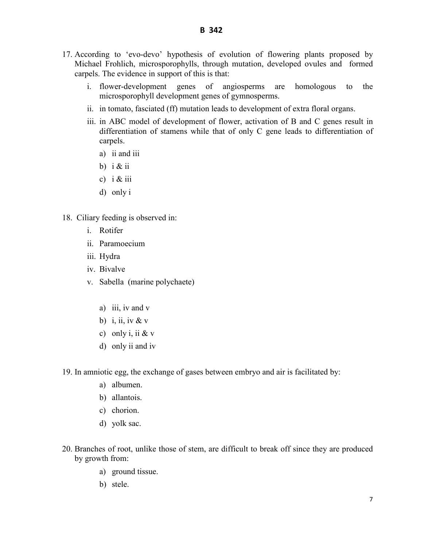- 17. According to 'evo-devo' hypothesis of evolution of flowering plants proposed by Michael Frohlich, microsporophylls, through mutation, developed ovules and formed carpels. The evidence in support of this is that:
	- i. flower-development genes of angiosperms are homologous to the microsporophyll development genes of gymnosperms.
	- ii. in tomato, fasciated (ff) mutation leads to development of extra floral organs.
	- iii. in ABC model of development of flower, activation of B and C genes result in differentiation of stamens while that of only C gene leads to differentiation of carpels.
		- a) ii and iii
		- b)  $i \&$  ii
		- c)  $i \& \text{iii}$
		- d) only i
- 18. Ciliary feeding is observed in:
	- i. Rotifer
	- ii. Paramoecium
	- iii. Hydra
	- iv. Bivalve
	- v. Sabella (marine polychaete)
		- a) iii, iv and v
		- b) i, ii, iv  $&\mathbf{v}$
		- c) only i, ii  $&$  v
		- d) only ii and iv
- 19. In amniotic egg, the exchange of gases between embryo and air is facilitated by:
	- a) albumen.
	- b) allantois.
	- c) chorion.
	- d) yolk sac.
- 20. Branches of root, unlike those of stem, are difficult to break off since they are produced by growth from:
	- a) ground tissue.
	- b) stele.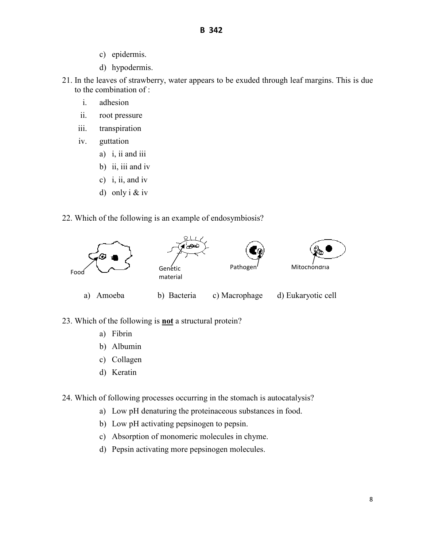- c) epidermis.
- d) hypodermis.
- 21. In the leaves of strawberry, water appears to be exuded through leaf margins. This is due to the combination of :
	- i. adhesion
	- ii. root pressure
	- iii. transpiration
	- iv. guttation
		- a) i, ii and iii
		- b) ii, iii and iv
		- c) i, ii, and iv
		- d) only i & iv
- 22. Which of the following is an example of endosymbiosis?



23. Which of the following is **not** a structural protein?

- a) Fibrin
- b) Albumin
- c) Collagen
- d) Keratin

24. Which of following processes occurring in the stomach is autocatalysis?

- a) Low pH denaturing the proteinaceous substances in food.
- b) Low pH activating pepsinogen to pepsin.
- c) Absorption of monomeric molecules in chyme.
- d) Pepsin activating more pepsinogen molecules.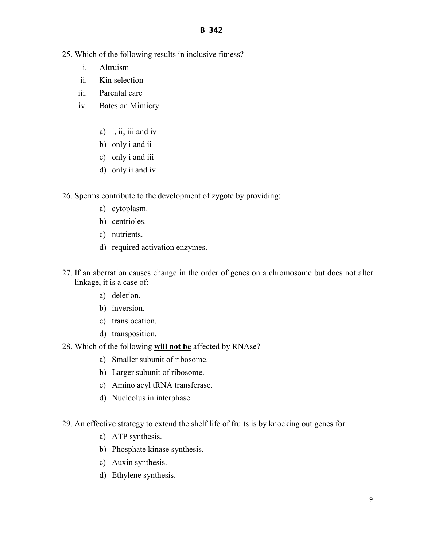- 25. Which of the following results in inclusive fitness?
	- i. Altruism
	- ii. Kin selection
	- iii. Parental care
	- iv. Batesian Mimicry
		- a) i, ii, iii and iv
		- b) only i and ii
		- c) only i and iii
		- d) only ii and iv
- 26. Sperms contribute to the development of zygote by providing:
	- a) cytoplasm.
	- b) centrioles.
	- c) nutrients.
	- d) required activation enzymes.
- 27. If an aberration causes change in the order of genes on a chromosome but does not alter linkage, it is a case of:
	- a) deletion.
	- b) inversion.
	- c) translocation.
	- d) transposition.
- 28. Which of the following **will not be** affected by RNAse?
	- a) Smaller subunit of ribosome.
	- b) Larger subunit of ribosome.
	- c) Amino acyl tRNA transferase.
	- d) Nucleolus in interphase.
- 29. An effective strategy to extend the shelf life of fruits is by knocking out genes for:
	- a) ATP synthesis.
	- b) Phosphate kinase synthesis.
	- c) Auxin synthesis.
	- d) Ethylene synthesis.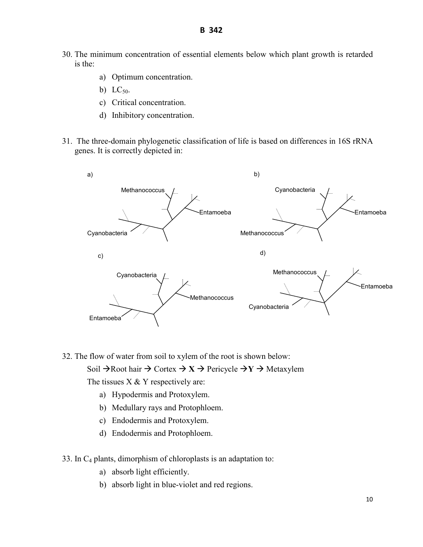30. The minimum concentration of essential elements below which plant growth is retarded is the:

**B 342** 

- a) Optimum concentration.
- b)  $LC_{50}$ .
- c) Critical concentration.
- d) Inhibitory concentration.
- 31. The three-domain phylogenetic classification of life is based on differences in 16S rRNA genes. It is correctly depicted in:



32. The flow of water from soil to xylem of the root is shown below: Soil  $\rightarrow$  Root hair  $\rightarrow$  Cortex  $\rightarrow$  X  $\rightarrow$  Pericycle  $\rightarrow$  Y  $\rightarrow$  Metaxylem

The tissues  $X \& Y$  respectively are:

- a) Hypodermis and Protoxylem.
- b) Medullary rays and Protophloem.
- c) Endodermis and Protoxylem.
- d) Endodermis and Protophloem.
- 33. In  $C_4$  plants, dimorphism of chloroplasts is an adaptation to:
	- a) absorb light efficiently.
	- b) absorb light in blue-violet and red regions.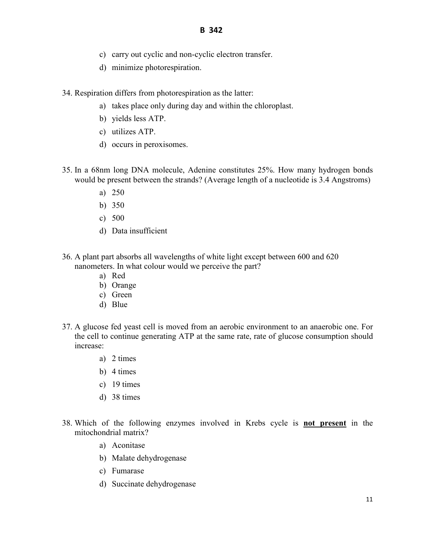- c) carry out cyclic and non-cyclic electron transfer.
- d) minimize photorespiration.

34. Respiration differs from photorespiration as the latter:

- a) takes place only during day and within the chloroplast.
- b) yields less ATP.
- c) utilizes ATP.
- d) occurs in peroxisomes.
- 35. In a 68nm long DNA molecule, Adenine constitutes 25%. How many hydrogen bonds would be present between the strands? (Average length of a nucleotide is 3.4 Angstroms)
	- a) 250
	- b) 350
	- c) 500
	- d) Data insufficient
- 36. A plant part absorbs all wavelengths of white light except between 600 and 620 nanometers. In what colour would we perceive the part?
	- a) Red
	- b) Orange
	- c) Green
	- d) Blue
- 37. A glucose fed yeast cell is moved from an aerobic environment to an anaerobic one. For the cell to continue generating ATP at the same rate, rate of glucose consumption should increase:
	- a) 2 times
	- b) 4 times
	- c) 19 times
	- d) 38 times
- 38. Which of the following enzymes involved in Krebs cycle is **not present** in the mitochondrial matrix?
	- a) Aconitase
	- b) Malate dehydrogenase
	- c) Fumarase
	- d) Succinate dehydrogenase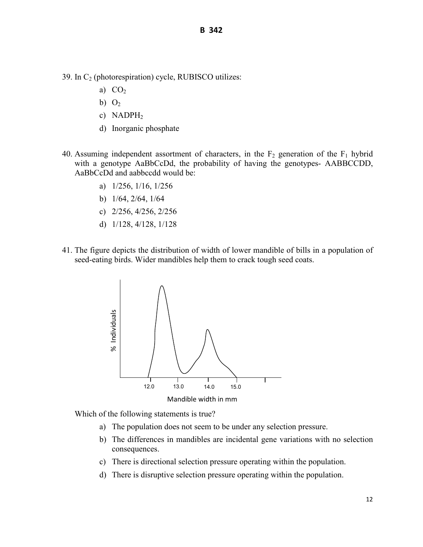39. In  $C_2$  (photorespiration) cycle, RUBISCO utilizes:

- a)  $CO<sub>2</sub>$
- b)  $O<sub>2</sub>$
- c) NADPH<sub>2</sub>
- d) Inorganic phosphate
- 40. Assuming independent assortment of characters, in the  $F_2$  generation of the  $F_1$  hybrid with a genotype AaBbCcDd, the probability of having the genotypes- AABBCCDD, AaBbCcDd and aabbccdd would be:
	- a) 1/256, 1/16, 1/256
	- b) 1/64, 2/64, 1/64
	- c) 2/256, 4/256, 2/256
	- d) 1/128, 4/128, 1/128
- 41. The figure depicts the distribution of width of lower mandible of bills in a population of seed-eating birds. Wider mandibles help them to crack tough seed coats.



Which of the following statements is true?

- a) The population does not seem to be under any selection pressure.
- b) The differences in mandibles are incidental gene variations with no selection consequences.
- c) There is directional selection pressure operating within the population.
-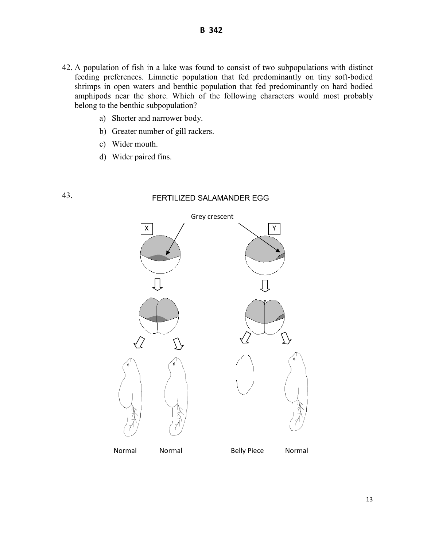- 42. A population of fish in a lake was found to consist of two subpopulations with distinct feeding preferences. Limnetic population that fed predominantly on tiny soft-bodied shrimps in open waters and benthic population that fed predominantly on hard bodied amphipods near the shore. Which of the following characters would most probably belong to the benthic subpopulation?
	- a) Shorter and narrower body.
	- b) Greater number of gill rackers.
	- c) Wider mouth.
	- d) Wider paired fins.

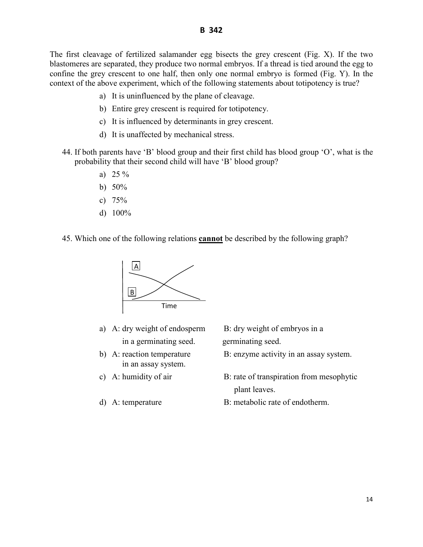The first cleavage of fertilized salamander egg bisects the grey crescent (Fig. X). If the two blastomeres are separated, they produce two normal embryos. If a thread is tied around the egg to confine the grey crescent to one half, then only one normal embryo is formed (Fig. Y). In the context of the above experiment, which of the following statements about totipotency is true?

- a) It is uninfluenced by the plane of cleavage.
- b) Entire grey crescent is required for totipotency.
- c) It is influenced by determinants in grey crescent.
- d) It is unaffected by mechanical stress.
- 44. If both parents have 'B' blood group and their first child has blood group 'O', what is the probability that their second child will have 'B' blood group?
	- a) 25 %
	- b) 50%
	- c)  $75%$
	- d) 100%
- 45. Which one of the following relations **cannot** be described by the following graph?



- a) A: dry weight of endosperm B: dry weight of embryos in a in a germinating seed. germinating seed.
- in an assay system.
- 
- 

- b) A: reaction temperature B: enzyme activity in an assay system.
- c) A: humidity of air B: rate of transpiration from mesophytic plant leaves.
- d) A: temperature B: metabolic rate of endotherm.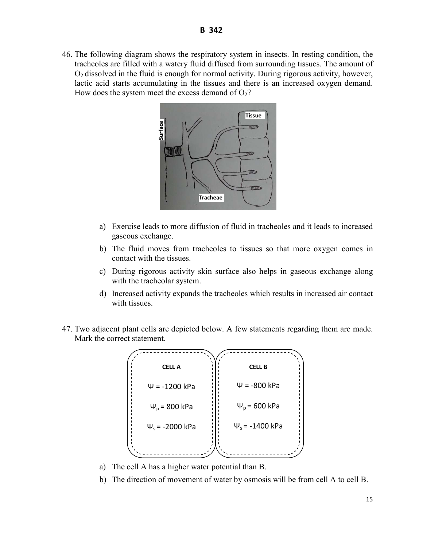46. The following diagram shows the respiratory system in insects. In resting condition, the tracheoles are filled with a watery fluid diffused from surrounding tissues. The amount of  $O<sub>2</sub>$  dissolved in the fluid is enough for normal activity. During rigorous activity, however, lactic acid starts accumulating in the tissues and there is an increased oxygen demand. How does the system meet the excess demand of  $O<sub>2</sub>$ ?



- a) Exercise leads to more diffusion of fluid in tracheoles and it leads to increased gaseous exchange.
- b) The fluid moves from tracheoles to tissues so that more oxygen comes in contact with the tissues.
- c) During rigorous activity skin surface also helps in gaseous exchange along with the tracheolar system.
- d) Increased activity expands the tracheoles which results in increased air contact with tissues.
- 47. Two adjacent plant cells are depicted below. A few statements regarding them are made. Mark the correct statement.



- a) The cell A has a higher water potential than B.
-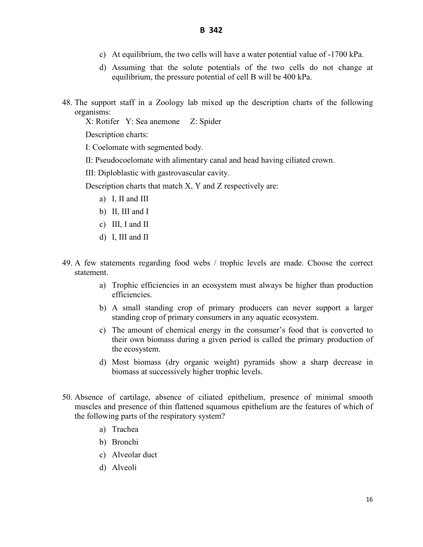- c) At equilibrium, the two cells will have a water potential value of -1700 kPa.
- d) Assuming that the solute potentials of the two cells do not change at equilibrium, the pressure potential of cell B will be 400 kPa.
- 48. The support staff in a Zoology lab mixed up the description charts of the following organisms:

X: Rotifer Y: Sea anemone Z: Spider

Description charts:

I: Coelomate with segmented body.

II: Pseudocoelomate with alimentary canal and head having ciliated crown.

III: Diploblastic with gastrovascular cavity.

Description charts that match X, Y and Z respectively are:

- a) I, II and III
- b) II, III and I
- c) III, I and II
- d) I, III and II
- 49. A few statements regarding food webs / trophic levels are made. Choose the correct statement.
	- a) Trophic efficiencies in an ecosystem must always be higher than production efficiencies.
	- b) A small standing crop of primary producers can never support a larger standing crop of primary consumers in any aquatic ecosystem.
	- c) The amount of chemical energy in the consumer's food that is converted to their own biomass during a given period is called the primary production of the ecosystem.
	- d) Most biomass (dry organic weight) pyramids show a sharp decrease in biomass at successively higher trophic levels.
- 50. Absence of cartilage, absence of ciliated epithelium, presence of minimal smooth muscles and presence of thin flattened squamous epithelium are the features of which of the following parts of the respiratory system?
	- a) Trachea
	- b) Bronchi
	- c) Alveolar duct
	- d) Alveoli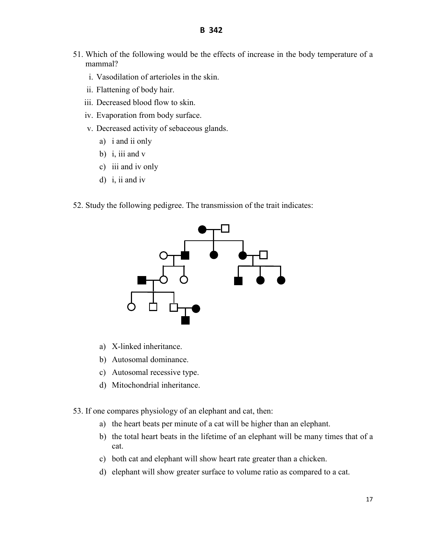- 51. Which of the following would be the effects of increase in the body temperature of a mammal?
	- i. Vasodilation of arterioles in the skin.
	- ii. Flattening of body hair.
	- iii. Decreased blood flow to skin.
	- iv. Evaporation from body surface.
	- v. Decreased activity of sebaceous glands.
		- a) i and ii only
		- b) i, iii and  $v$
		- c) iii and iv only
		- d) i, ii and iv
- 52. Study the following pedigree. The transmission of the trait indicates:



- a) X-linked inheritance.
- b) Autosomal dominance.
- c) Autosomal recessive type.
- d) Mitochondrial inheritance.
- 53. If one compares physiology of an elephant and cat, then:
	- a) the heart beats per minute of a cat will be higher than an elephant.
	- b) the total heart beats in the lifetime of an elephant will be many times that of a cat.
	- c) both cat and elephant will show heart rate greater than a chicken.
	- d) elephant will show greater surface to volume ratio as compared to a cat.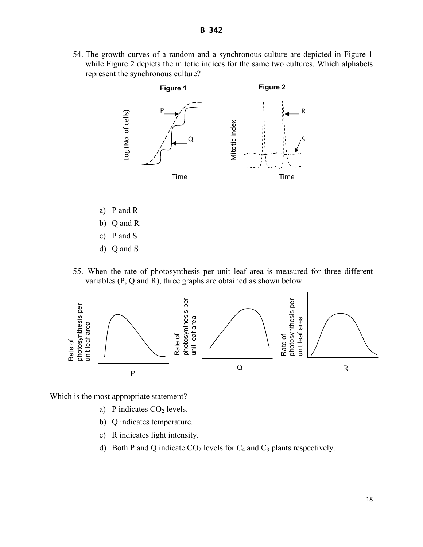54. The growth curves of a random and a synchronous culture are depicted in Figure 1 while Figure 2 depicts the mitotic indices for the same two cultures. Which alphabets represent the synchronous culture?



- a) P and R
- b) Q and R
- c) P and S
- d) Q and S
- 55. When the rate of photosynthesis per unit leaf area is measured for three different variables (P, Q and R), three graphs are obtained as shown below.



Which is the most appropriate statement?

- a) P indicates  $CO<sub>2</sub>$  levels.
- b) Q indicates temperature.
- c) R indicates light intensity.
- d) Both P and Q indicate  $CO<sub>2</sub>$  levels for  $C<sub>4</sub>$  and  $C<sub>3</sub>$  plants respectively.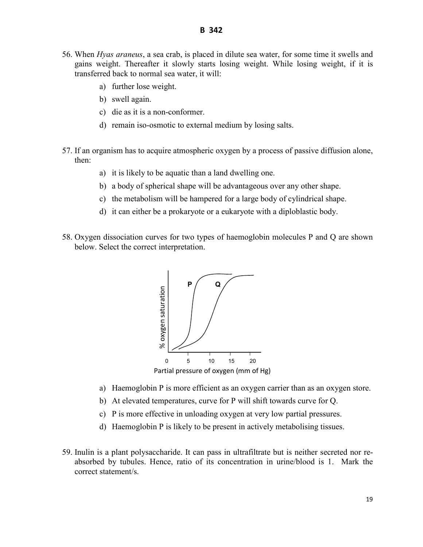- 56. When *Hyas araneus*, a sea crab, is placed in dilute sea water, for some time it swells and gains weight. Thereafter it slowly starts losing weight. While losing weight, if it is transferred back to normal sea water, it will:
	- a) further lose weight.
	- b) swell again.
	- c) die as it is a non-conformer.
	- d) remain iso-osmotic to external medium by losing salts.
- 57. If an organism has to acquire atmospheric oxygen by a process of passive diffusion alone, then:
	- a) it is likely to be aquatic than a land dwelling one.
	- b) a body of spherical shape will be advantageous over any other shape.
	- c) the metabolism will be hampered for a large body of cylindrical shape.
	- d) it can either be a prokaryote or a eukaryote with a diploblastic body.
- 58. Oxygen dissociation curves for two types of haemoglobin molecules P and Q are shown below. Select the correct interpretation.



- a) Haemoglobin P is more efficient as an oxygen carrier than as an oxygen store.
- b) At elevated temperatures, curve for P will shift towards curve for Q.
- c) P is more effective in unloading oxygen at very low partial pressures.
- d) Haemoglobin P is likely to be present in actively metabolising tissues.
- 59. Inulin is a plant polysaccharide. It can pass in ultrafiltrate but is neither secreted nor reabsorbed by tubules. Hence, ratio of its concentration in urine/blood is 1. Mark the correct statement/s.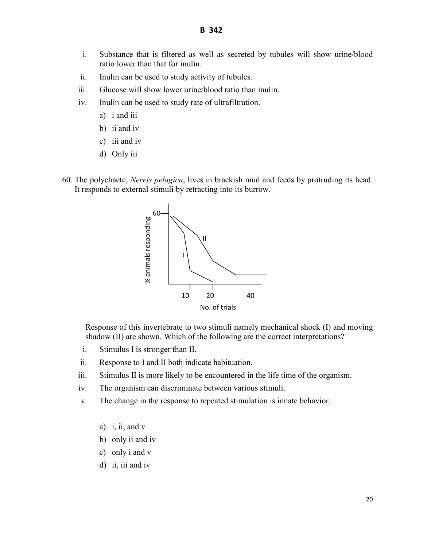- i. Substance that is filtered as well as secreted by tubules will show urine/blood ratio lower than that for inulin.
- ii. Inulin can be used to study activity of tubules.
- iii. Glucose will show lower urine/blood ratio than inulin.
- iv. Inulin can be used to study rate of ultrafiltration.
	- a) i and iii
	- b) ii and iv
	- c) iii and iv
	- d) Only iii
- 60. The polychaete, *Nereis pelagica*, lives in brackish mud and feeds by protruding its head. It responds to external stimuli by retracting into its burrow.



Response of this invertebrate to two stimuli namely mechanical shock (I) and moving shadow (II) are shown. Which of the following are the correct interpretations?

- i. Stimulus I is stronger than II.
- ii. Response to I and II both indicate habituation.
- iii. Stimulus II is more likely to be encountered in the life time of the organism.
- iv. The organism can discriminate between various stimuli.
- v. The change in the response to repeated stimulation is innate behavior.
	- a) i, ii, and v
	- b) only ii and iv
	- c) only i and v
	- d) ii, iii and iv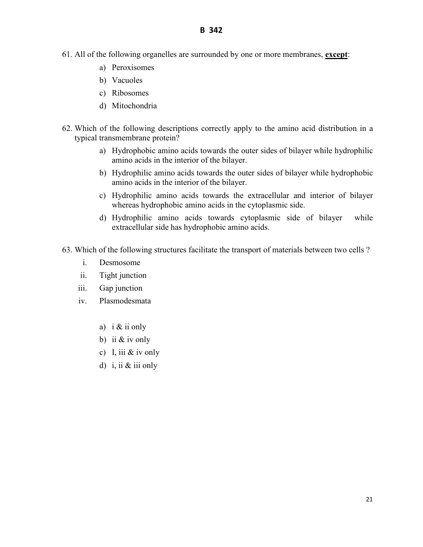- 61. All of the following organelles are surrounded by one or more membranes, **except**:
	- a) Peroxisomes
	- b) Vacuoles
	- c) Ribosomes
	- d) Mitochondria
- 62. Which of the following descriptions correctly apply to the amino acid distribution in a typical transmembrane protein?
	- a) Hydrophobic amino acids towards the outer sides of bilayer while hydrophilic amino acids in the interior of the bilayer.
	- b) Hydrophilic amino acids towards the outer sides of bilayer while hydrophobic amino acids in the interior of the bilayer.
	- c) Hydrophilic amino acids towards the extracellular and interior of bilayer whereas hydrophobic amino acids in the cytoplasmic side.
	- d) Hydrophilic amino acids towards cytoplasmic side of bilayer while extracellular side has hydrophobic amino acids.
- 63. Which of the following structures facilitate the transport of materials between two cells ?
	- i. Desmosome
	- ii. Tight junction
	- iii. Gap junction
	- iv. Plasmodesmata
		- a) i & ii only
		- b) ii  $&$  iv only
		- c) I, iii  $&$  iv only
		- d) i, ii & iii only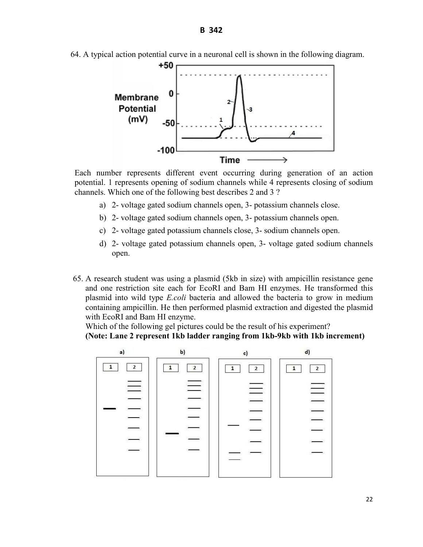

64. A typical action potential curve in a neuronal cell is shown in the following diagram.

Each number represents different event occurring during generation of an action potential. 1 represents opening of sodium channels while 4 represents closing of sodium channels. Which one of the following best describes 2 and 3 ?

- a) 2- voltage gated sodium channels open, 3- potassium channels close.
- b) 2- voltage gated sodium channels open, 3- potassium channels open.
- c) 2- voltage gated potassium channels close, 3- sodium channels open.
- d) 2- voltage gated potassium channels open, 3- voltage gated sodium channels open.
- 65. A research student was using a plasmid (5kb in size) with ampicillin resistance gene and one restriction site each for EcoRI and Bam HI enzymes. He transformed this plasmid into wild type *E.coli* bacteria and allowed the bacteria to grow in medium containing ampicillin. He then performed plasmid extraction and digested the plasmid with EcoRI and Bam HI enzyme.

Which of the following gel pictures could be the result of his experiment? **(Note: Lane 2 represent 1kb ladder ranging from 1kb-9kb with 1kb increment)** 

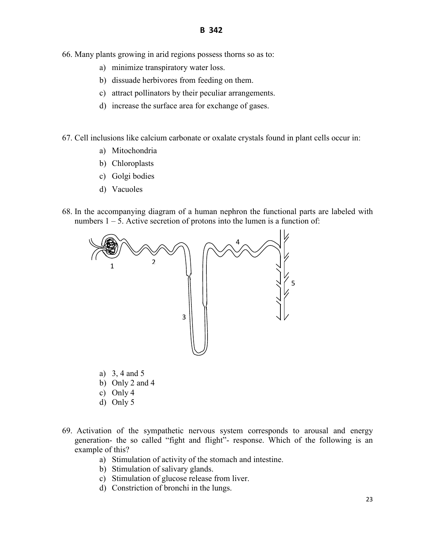- 66. Many plants growing in arid regions possess thorns so as to:
	- a) minimize transpiratory water loss.
	- b) dissuade herbivores from feeding on them.
	- c) attract pollinators by their peculiar arrangements.
	- d) increase the surface area for exchange of gases.
- 67. Cell inclusions like calcium carbonate or oxalate crystals found in plant cells occur in:
	- a) Mitochondria
	- b) Chloroplasts
	- c) Golgi bodies
	- d) Vacuoles
- 68. In the accompanying diagram of a human nephron the functional parts are labeled with numbers  $1 - 5$ . Active secretion of protons into the lumen is a function of:



- a) 3, 4 and 5
- b) Only 2 and 4
- c) Only 4
- d) Only 5
- 69. Activation of the sympathetic nervous system corresponds to arousal and energy generation- the so called "fight and flight"- response. Which of the following is an example of this?
	- a) Stimulation of activity of the stomach and intestine.
	- b) Stimulation of salivary glands.
	- c) Stimulation of glucose release from liver.
	- d) Constriction of bronchi in the lungs.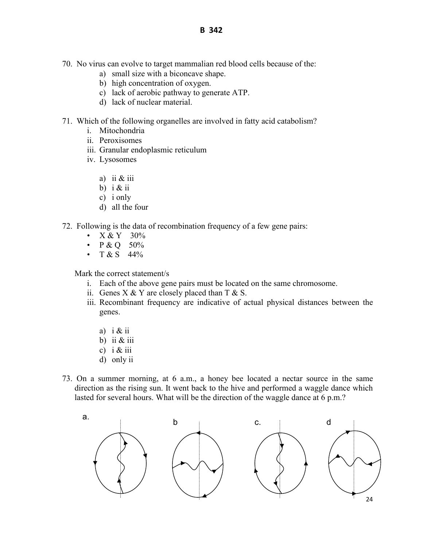- 70. No virus can evolve to target mammalian red blood cells because of the:
	- a) small size with a biconcave shape.
	- b) high concentration of oxygen.
	- c) lack of aerobic pathway to generate ATP.
	- d) lack of nuclear material.
- 71. Which of the following organelles are involved in fatty acid catabolism?
	- i. Mitochondria
	- ii. Peroxisomes
	- iii. Granular endoplasmic reticulum
	- iv. Lysosomes
		- a) ii & iii
		- b)  $i &$  ii
		- c) i only
		- d) all the four
- 72. Following is the data of recombination frequency of a few gene pairs:
	- $X & Y$  30%
	- $P & Q 50%$
	- $T & S$  44%

Mark the correct statement/s

- i. Each of the above gene pairs must be located on the same chromosome.
- ii. Genes  $X \& Y$  are closely placed than  $T \& S$ .
- iii. Recombinant frequency are indicative of actual physical distances between the genes.
	- a)  $i \& ii$
	- b) ii  $&$  iii
	- c) i  $&$  iii
	- d) only ii
- 73. On a summer morning, at 6 a.m., a honey bee located a nectar source in the same direction as the rising sun. It went back to the hive and performed a waggle dance which lasted for several hours. What will be the direction of the waggle dance at 6 p.m.?

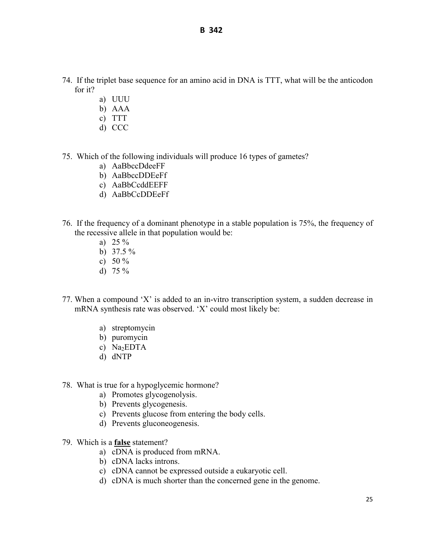- 74. If the triplet base sequence for an amino acid in DNA is TTT, what will be the anticodon for it?
	- a) UUU
	- b) AAA
	- c) TTT
	- d) CCC
- 75. Which of the following individuals will produce 16 types of gametes?
	- a) AaBbccDdeeFF
	- b) AaBbccDDEeFf
	- c) AaBbCcddEEFF
	- d) AaBbCcDDEeFf
- 76. If the frequency of a dominant phenotype in a stable population is 75%, the frequency of the recessive allele in that population would be:
	- a)  $25\%$
	- b)  $37.5 \%$
	- c) 50  $\%$
	- d)  $75 \%$
- 77. When a compound 'X' is added to an in-vitro transcription system, a sudden decrease in mRNA synthesis rate was observed. 'X' could most likely be:
	- a) streptomycin
	- b) puromycin
	- c)  $Na<sub>2</sub>EDTA$
	- d) dNTP
- 78. What is true for a hypoglycemic hormone?
	- a) Promotes glycogenolysis.
	- b) Prevents glycogenesis.
	- c) Prevents glucose from entering the body cells.
	- d) Prevents gluconeogenesis.
- 79. Which is a **false** statement?
	- a) cDNA is produced from mRNA.
	- b) cDNA lacks introns.
	- c) cDNA cannot be expressed outside a eukaryotic cell.
	- d) cDNA is much shorter than the concerned gene in the genome.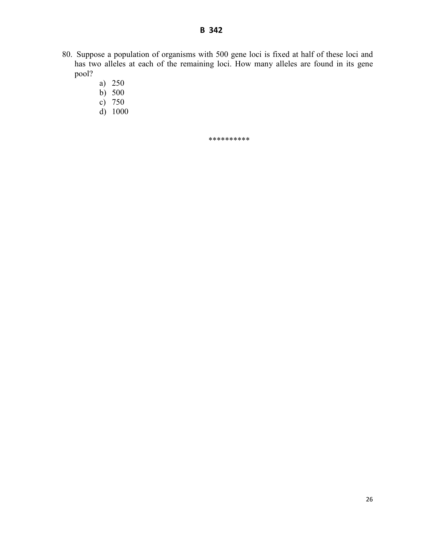- 80. Suppose a population of organisms with 500 gene loci is fixed at half of these loci and has two alleles at each of the remaining loci. How many alleles are found in its gene pool?
	- a) 250
	- b) 500
	- c) 750
	- d) 1000

\*\*\*\*\*\*\*\*\*\*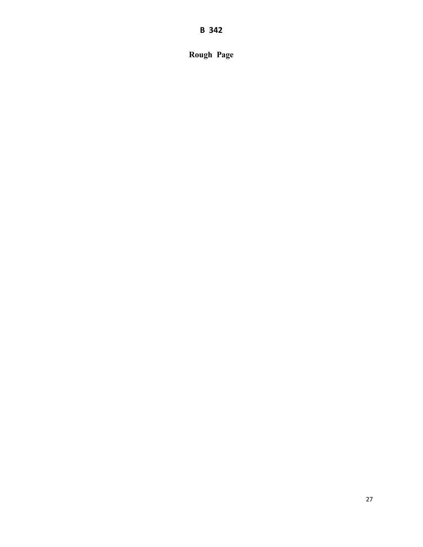**B 342** 

**Rough Page**